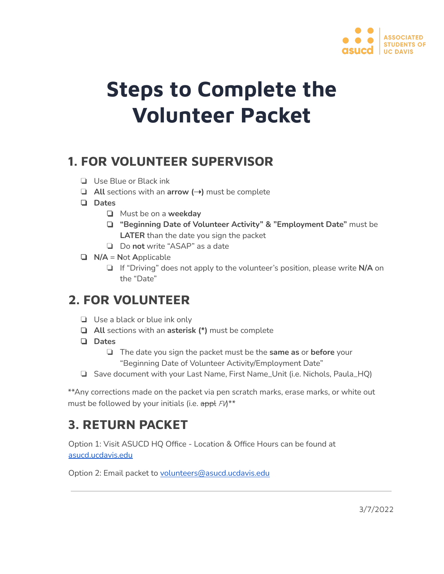

# **Steps to Complete the Volunteer Packet**

# **1. FOR VOLUNTEER SUPERVISOR**

- ❏ Use Blue or Black ink
- ❏ **All** sections with an **arrow (**➝**)** must be complete
- ❏ **Dates**
	- ❏ Must be on a **weekday**
	- ❏ **"Beginning Date of Volunteer Activity" & "Employment Date"** must be  **LATER** than the date you sign the packet
	- ❏ Do **not** write "ASAP" as a date
- ❏ **N/A** = **N** ot **A** pplicable
	- ❏ If "Driving" does not apply to the volunteer's position, please write **N/A** on the "Date"

# **2. FOR VOLUNTEER**

- ❏ Use a black or blue ink only
- ❏ **All** sections with an **asterisk (\*)** must be complete
- ❏ **Dates**
	- ❏ The date you sign the packet must be the **same as** or **before** your "Beginning Date of Volunteer Activity/Employment Date"
- ❏ Save document with your Last Name, First Name\_Unit (i.e. Nichols, Paula\_HQ)

 \*\*Any corrections made on the packet via pen scratch marks, erase marks, or white out must be followed by your initials (i.e. appl  $FN$ \*\*

# **3. RETURN PACKET**

 Option 1: Visit ASUCD HQ Office - Location & Office Hours can be found at  [asucd.ucdavis.edu](https://asucd.ucdavis.edu/) 

Option 2: Email packet to [volunteers@asucd.ucdavis.edu](mailto:volunteers@asucd.ucdavis.edu)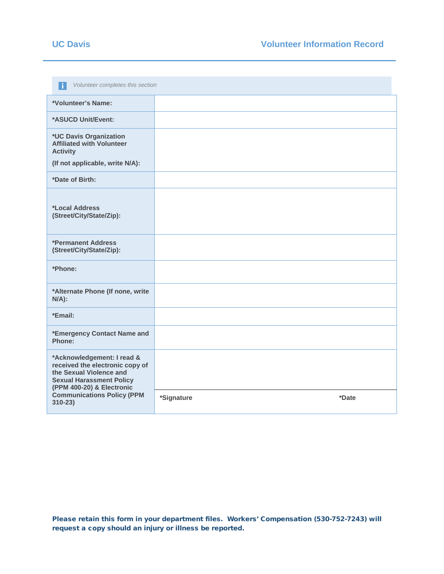| Volunteer completes this section<br>H.                                                                                                                                                                      |            |       |  |  |  |  |  |
|-------------------------------------------------------------------------------------------------------------------------------------------------------------------------------------------------------------|------------|-------|--|--|--|--|--|
| *Volunteer's Name:                                                                                                                                                                                          |            |       |  |  |  |  |  |
| *ASUCD Unit/Event:                                                                                                                                                                                          |            |       |  |  |  |  |  |
| *UC Davis Organization<br><b>Affiliated with Volunteer</b><br><b>Activity</b>                                                                                                                               |            |       |  |  |  |  |  |
| (If not applicable, write N/A):                                                                                                                                                                             |            |       |  |  |  |  |  |
| *Date of Birth:                                                                                                                                                                                             |            |       |  |  |  |  |  |
| <i><b>*Local Address</b></i><br>(Street/City/State/Zip):                                                                                                                                                    |            |       |  |  |  |  |  |
| *Permanent Address<br>(Street/City/State/Zip):                                                                                                                                                              |            |       |  |  |  |  |  |
| *Phone:                                                                                                                                                                                                     |            |       |  |  |  |  |  |
| *Alternate Phone (If none, write<br>$N/A$ ):                                                                                                                                                                |            |       |  |  |  |  |  |
| *Email:                                                                                                                                                                                                     |            |       |  |  |  |  |  |
| *Emergency Contact Name and<br>Phone:                                                                                                                                                                       |            |       |  |  |  |  |  |
| *Acknowledgement: I read &<br>received the electronic copy of<br>the Sexual Violence and<br><b>Sexual Harassment Policy</b><br>(PPM 400-20) & Electronic<br><b>Communications Policy (PPM</b><br>$310 - 23$ |            |       |  |  |  |  |  |
|                                                                                                                                                                                                             | *Signature | *Date |  |  |  |  |  |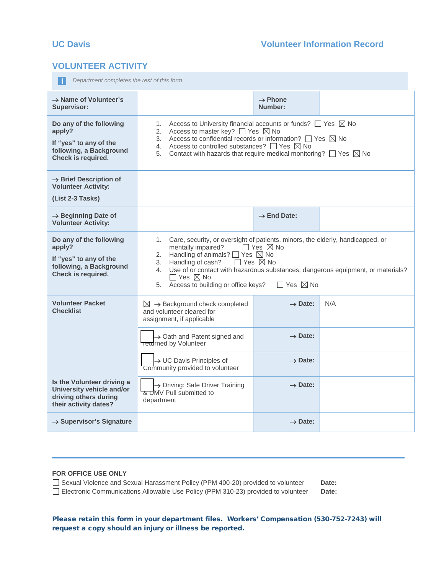## **VOLUNTEER ACTIVITY**

*P* Department completes the rest of this form.

| $\rightarrow$ Name of Volunteer's<br>Supervisor:                                                             |                                                                                                                                                                                                                                                                                                                                                                                                                                               | $\rightarrow$ Phone<br>Number: |     |  |  |  |
|--------------------------------------------------------------------------------------------------------------|-----------------------------------------------------------------------------------------------------------------------------------------------------------------------------------------------------------------------------------------------------------------------------------------------------------------------------------------------------------------------------------------------------------------------------------------------|--------------------------------|-----|--|--|--|
| Do any of the following<br>apply?<br>If "yes" to any of the<br>following, a Background<br>Check is required. | Access to University financial accounts or funds? $\Box$ Yes $\boxtimes$ No<br>1.<br>2. Access to master key? $\Box$ Yes $\boxtimes$ No<br>3. Access to confidential records or information? $\Box$ Yes $\boxtimes$ No<br>4. Access to controlled substances? $\Box$ Yes $\boxtimes$ No<br>Contact with hazards that require medical monitoring? $\Box$ Yes $\boxtimes$ No<br>5.                                                              |                                |     |  |  |  |
| $\rightarrow$ Brief Description of<br><b>Volunteer Activity:</b><br>(List 2-3 Tasks)                         |                                                                                                                                                                                                                                                                                                                                                                                                                                               |                                |     |  |  |  |
| $\rightarrow$ Beginning Date of<br><b>Volunteer Activity:</b>                                                |                                                                                                                                                                                                                                                                                                                                                                                                                                               | $\rightarrow$ End Date:        |     |  |  |  |
| Do any of the following<br>apply?<br>If "yes" to any of the<br>following, a Background<br>Check is required. | 1. Care, security, or oversight of patients, minors, the elderly, handicapped, or<br>mentally impaired?<br>$\Box$ Yes $\boxtimes$ No<br>Handling of animals? $\Box$ Yes $\boxtimes$ No<br>2.<br>Handling of cash?<br>$\Box$ Yes $\boxtimes$ No<br>3.<br>4. Use of or contact with hazardous substances, dangerous equipment, or materials?<br>$\Box$ Yes $\boxtimes$ No<br>5. Access to building or office keys?<br>$\Box$ Yes $\boxtimes$ No |                                |     |  |  |  |
| <b>Volunteer Packet</b><br><b>Checklist</b>                                                                  | $\boxtimes$ $\rightarrow$ Background check completed<br>and volunteer cleared for<br>assignment, if applicable                                                                                                                                                                                                                                                                                                                                | $\rightarrow$ Date:            | N/A |  |  |  |
|                                                                                                              | $\rightarrow$ Oath and Patent signed and<br><b>Teturned by Volunteer</b>                                                                                                                                                                                                                                                                                                                                                                      | $\rightarrow$ Date:            |     |  |  |  |
|                                                                                                              | $\rightarrow$ UC Davis Principles of<br>Community provided to volunteer                                                                                                                                                                                                                                                                                                                                                                       | $\rightarrow$ Date:            |     |  |  |  |
| Is the Volunteer driving a<br>University vehicle and/or<br>driving others during<br>their activity dates?    | > Driving: Safe Driver Training<br><u>ਨ D</u> MV Pull submitted to<br>department                                                                                                                                                                                                                                                                                                                                                              | $\rightarrow$ Date:            |     |  |  |  |
| $\rightarrow$ Supervisor's Signature                                                                         |                                                                                                                                                                                                                                                                                                                                                                                                                                               | $\rightarrow$ Date:            |     |  |  |  |

## **FOR OFFICE USE ONLY** □ Sexual Violence and Sexual Harassment Policy (PPM 400-20) provided to volunteer **Date:** Electronic Communications Allowable Use Policy (PPM 310-23) provided to volunteer **Date:**

Please retain this form in your department files. Workers' Compensation (530-752-7243) will request a copy should an injury or illness be reported.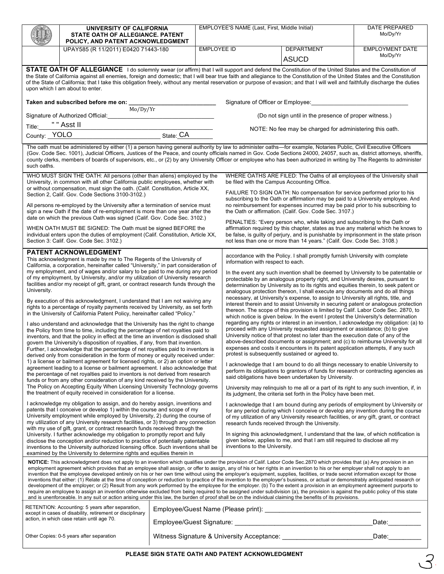|                                                                                                                                                                                                                                                                                                                                                                                                                                                                                                                                                                                                                                                                                                                                                                                                                                                                                                                                                                                                                                                                                                                                                                                                                                                                                                                                                                                                                                                                                                                                                                                                                                                                                                                                                                                                                                                                                                                                                                                                                                                                                                                                                                                                                                                                                                                                                                                                                                                                                       | UNIVERSITY OF CALIFORNIA<br>STATE OATH OF ALLEGIANCE. PATENT             |                                                                                                                                                                                                                                                                                                                                                                                                                                                                                                                                                                                                                                                                                                                                                                                                                                                                                                                                                                                                                                                                                                                                                                                                                                                                                                                                                                                                                                                                                                                                                                                                                                                                                                                                                                                                                                                                                                                                                                                                                                                                                                                                                                                                                                                         | EMPLOYEE'S NAME (Last, First, Middle Initial)<br>Mo/Dy/Yr                                                                                                                                                                                                                                                                                                                                                                                                                        |                                                          | <b>DATE PREPARED</b> |                        |  |  |
|---------------------------------------------------------------------------------------------------------------------------------------------------------------------------------------------------------------------------------------------------------------------------------------------------------------------------------------------------------------------------------------------------------------------------------------------------------------------------------------------------------------------------------------------------------------------------------------------------------------------------------------------------------------------------------------------------------------------------------------------------------------------------------------------------------------------------------------------------------------------------------------------------------------------------------------------------------------------------------------------------------------------------------------------------------------------------------------------------------------------------------------------------------------------------------------------------------------------------------------------------------------------------------------------------------------------------------------------------------------------------------------------------------------------------------------------------------------------------------------------------------------------------------------------------------------------------------------------------------------------------------------------------------------------------------------------------------------------------------------------------------------------------------------------------------------------------------------------------------------------------------------------------------------------------------------------------------------------------------------------------------------------------------------------------------------------------------------------------------------------------------------------------------------------------------------------------------------------------------------------------------------------------------------------------------------------------------------------------------------------------------------------------------------------------------------------------------------------------------------|--------------------------------------------------------------------------|---------------------------------------------------------------------------------------------------------------------------------------------------------------------------------------------------------------------------------------------------------------------------------------------------------------------------------------------------------------------------------------------------------------------------------------------------------------------------------------------------------------------------------------------------------------------------------------------------------------------------------------------------------------------------------------------------------------------------------------------------------------------------------------------------------------------------------------------------------------------------------------------------------------------------------------------------------------------------------------------------------------------------------------------------------------------------------------------------------------------------------------------------------------------------------------------------------------------------------------------------------------------------------------------------------------------------------------------------------------------------------------------------------------------------------------------------------------------------------------------------------------------------------------------------------------------------------------------------------------------------------------------------------------------------------------------------------------------------------------------------------------------------------------------------------------------------------------------------------------------------------------------------------------------------------------------------------------------------------------------------------------------------------------------------------------------------------------------------------------------------------------------------------------------------------------------------------------------------------------------------------|----------------------------------------------------------------------------------------------------------------------------------------------------------------------------------------------------------------------------------------------------------------------------------------------------------------------------------------------------------------------------------------------------------------------------------------------------------------------------------|----------------------------------------------------------|----------------------|------------------------|--|--|
|                                                                                                                                                                                                                                                                                                                                                                                                                                                                                                                                                                                                                                                                                                                                                                                                                                                                                                                                                                                                                                                                                                                                                                                                                                                                                                                                                                                                                                                                                                                                                                                                                                                                                                                                                                                                                                                                                                                                                                                                                                                                                                                                                                                                                                                                                                                                                                                                                                                                                       | POLICY, AND PATENT ACKNOWLEDGMENT<br>UPAY585 (R 11/2011) E0420 71443-180 |                                                                                                                                                                                                                                                                                                                                                                                                                                                                                                                                                                                                                                                                                                                                                                                                                                                                                                                                                                                                                                                                                                                                                                                                                                                                                                                                                                                                                                                                                                                                                                                                                                                                                                                                                                                                                                                                                                                                                                                                                                                                                                                                                                                                                                                         | <b>EMPLOYEE ID</b>                                                                                                                                                                                                                                                                                                                                                                                                                                                               |                                                          | <b>DEPARTMENT</b>    | <b>EMPLOYMENT DATE</b> |  |  |
|                                                                                                                                                                                                                                                                                                                                                                                                                                                                                                                                                                                                                                                                                                                                                                                                                                                                                                                                                                                                                                                                                                                                                                                                                                                                                                                                                                                                                                                                                                                                                                                                                                                                                                                                                                                                                                                                                                                                                                                                                                                                                                                                                                                                                                                                                                                                                                                                                                                                                       |                                                                          |                                                                                                                                                                                                                                                                                                                                                                                                                                                                                                                                                                                                                                                                                                                                                                                                                                                                                                                                                                                                                                                                                                                                                                                                                                                                                                                                                                                                                                                                                                                                                                                                                                                                                                                                                                                                                                                                                                                                                                                                                                                                                                                                                                                                                                                         |                                                                                                                                                                                                                                                                                                                                                                                                                                                                                  |                                                          | <b>ASUCD</b>         | Mo/Dy/Yr               |  |  |
| STATE OATH OF ALLEGIANCE I do solemnly swear (or affirm) that I will support and defend the Constitution of the United States and the Constitution of<br>the State of California against all enemies, foreign and domestic; that I will bear true faith and allegiance to the Constitution of the United States and the Constitution<br>of the State of California; that I take this obligation freely, without any mental reservation or purpose of evasion; and that I will well and faithfully discharge the duties<br>upon which I am about to enter.                                                                                                                                                                                                                                                                                                                                                                                                                                                                                                                                                                                                                                                                                                                                                                                                                                                                                                                                                                                                                                                                                                                                                                                                                                                                                                                                                                                                                                                                                                                                                                                                                                                                                                                                                                                                                                                                                                                             |                                                                          |                                                                                                                                                                                                                                                                                                                                                                                                                                                                                                                                                                                                                                                                                                                                                                                                                                                                                                                                                                                                                                                                                                                                                                                                                                                                                                                                                                                                                                                                                                                                                                                                                                                                                                                                                                                                                                                                                                                                                                                                                                                                                                                                                                                                                                                         |                                                                                                                                                                                                                                                                                                                                                                                                                                                                                  |                                                          |                      |                        |  |  |
|                                                                                                                                                                                                                                                                                                                                                                                                                                                                                                                                                                                                                                                                                                                                                                                                                                                                                                                                                                                                                                                                                                                                                                                                                                                                                                                                                                                                                                                                                                                                                                                                                                                                                                                                                                                                                                                                                                                                                                                                                                                                                                                                                                                                                                                                                                                                                                                                                                                                                       | Taken and subscribed before me on:<br>Mo/Dy/Yr                           |                                                                                                                                                                                                                                                                                                                                                                                                                                                                                                                                                                                                                                                                                                                                                                                                                                                                                                                                                                                                                                                                                                                                                                                                                                                                                                                                                                                                                                                                                                                                                                                                                                                                                                                                                                                                                                                                                                                                                                                                                                                                                                                                                                                                                                                         |                                                                                                                                                                                                                                                                                                                                                                                                                                                                                  | Signature of Officer or Employee:                        |                      |                        |  |  |
|                                                                                                                                                                                                                                                                                                                                                                                                                                                                                                                                                                                                                                                                                                                                                                                                                                                                                                                                                                                                                                                                                                                                                                                                                                                                                                                                                                                                                                                                                                                                                                                                                                                                                                                                                                                                                                                                                                                                                                                                                                                                                                                                                                                                                                                                                                                                                                                                                                                                                       | Signature of Authorized Official:                                        |                                                                                                                                                                                                                                                                                                                                                                                                                                                                                                                                                                                                                                                                                                                                                                                                                                                                                                                                                                                                                                                                                                                                                                                                                                                                                                                                                                                                                                                                                                                                                                                                                                                                                                                                                                                                                                                                                                                                                                                                                                                                                                                                                                                                                                                         |                                                                                                                                                                                                                                                                                                                                                                                                                                                                                  | (Do not sign until in the presence of proper witness.)   |                      |                        |  |  |
| Title:                                                                                                                                                                                                                                                                                                                                                                                                                                                                                                                                                                                                                                                                                                                                                                                                                                                                                                                                                                                                                                                                                                                                                                                                                                                                                                                                                                                                                                                                                                                                                                                                                                                                                                                                                                                                                                                                                                                                                                                                                                                                                                                                                                                                                                                                                                                                                                                                                                                                                | " " Asst II                                                              |                                                                                                                                                                                                                                                                                                                                                                                                                                                                                                                                                                                                                                                                                                                                                                                                                                                                                                                                                                                                                                                                                                                                                                                                                                                                                                                                                                                                                                                                                                                                                                                                                                                                                                                                                                                                                                                                                                                                                                                                                                                                                                                                                                                                                                                         |                                                                                                                                                                                                                                                                                                                                                                                                                                                                                  | NOTE: No fee may be charged for administering this oath. |                      |                        |  |  |
| County: YOLO                                                                                                                                                                                                                                                                                                                                                                                                                                                                                                                                                                                                                                                                                                                                                                                                                                                                                                                                                                                                                                                                                                                                                                                                                                                                                                                                                                                                                                                                                                                                                                                                                                                                                                                                                                                                                                                                                                                                                                                                                                                                                                                                                                                                                                                                                                                                                                                                                                                                          | State: CA                                                                |                                                                                                                                                                                                                                                                                                                                                                                                                                                                                                                                                                                                                                                                                                                                                                                                                                                                                                                                                                                                                                                                                                                                                                                                                                                                                                                                                                                                                                                                                                                                                                                                                                                                                                                                                                                                                                                                                                                                                                                                                                                                                                                                                                                                                                                         |                                                                                                                                                                                                                                                                                                                                                                                                                                                                                  |                                                          |                      |                        |  |  |
| The oath must be administered by either (1) a person having general authority by law to administer oaths—for example, Notaries Public, Civil Executive Officers<br>(Gov. Code Sec. 1001), Judicial Officers, Justices of the Peace, and county officials named in Gov. Code Sections 24000, 24057, such as, district attorneys, sheriffs,<br>county clerks, members of boards of supervisors, etc., or (2) by any University Officer or employee who has been authorized in writing by The Regents to administer<br>such oaths.                                                                                                                                                                                                                                                                                                                                                                                                                                                                                                                                                                                                                                                                                                                                                                                                                                                                                                                                                                                                                                                                                                                                                                                                                                                                                                                                                                                                                                                                                                                                                                                                                                                                                                                                                                                                                                                                                                                                                       |                                                                          |                                                                                                                                                                                                                                                                                                                                                                                                                                                                                                                                                                                                                                                                                                                                                                                                                                                                                                                                                                                                                                                                                                                                                                                                                                                                                                                                                                                                                                                                                                                                                                                                                                                                                                                                                                                                                                                                                                                                                                                                                                                                                                                                                                                                                                                         |                                                                                                                                                                                                                                                                                                                                                                                                                                                                                  |                                                          |                      |                        |  |  |
| WHO MUST SIGN THE OATH: All persons (other than aliens) employed by the<br>University, in common with all other California public employees, whether with                                                                                                                                                                                                                                                                                                                                                                                                                                                                                                                                                                                                                                                                                                                                                                                                                                                                                                                                                                                                                                                                                                                                                                                                                                                                                                                                                                                                                                                                                                                                                                                                                                                                                                                                                                                                                                                                                                                                                                                                                                                                                                                                                                                                                                                                                                                             |                                                                          | WHERE OATHS ARE FILED: The Oaths of all employees of the University shall<br>be filed with the Campus Accounting Office.                                                                                                                                                                                                                                                                                                                                                                                                                                                                                                                                                                                                                                                                                                                                                                                                                                                                                                                                                                                                                                                                                                                                                                                                                                                                                                                                                                                                                                                                                                                                                                                                                                                                                                                                                                                                                                                                                                                                                                                                                                                                                                                                |                                                                                                                                                                                                                                                                                                                                                                                                                                                                                  |                                                          |                      |                        |  |  |
| or without compensation, must sign the oath. (Calif. Constitution, Article XX,<br>Section 2, Calif. Gov. Code Sections 3100-3102.)                                                                                                                                                                                                                                                                                                                                                                                                                                                                                                                                                                                                                                                                                                                                                                                                                                                                                                                                                                                                                                                                                                                                                                                                                                                                                                                                                                                                                                                                                                                                                                                                                                                                                                                                                                                                                                                                                                                                                                                                                                                                                                                                                                                                                                                                                                                                                    |                                                                          | FAILURE TO SIGN OATH: No compensation for service performed prior to his<br>subscribing to the Oath or affirmation may be paid to a University employee. And                                                                                                                                                                                                                                                                                                                                                                                                                                                                                                                                                                                                                                                                                                                                                                                                                                                                                                                                                                                                                                                                                                                                                                                                                                                                                                                                                                                                                                                                                                                                                                                                                                                                                                                                                                                                                                                                                                                                                                                                                                                                                            |                                                                                                                                                                                                                                                                                                                                                                                                                                                                                  |                                                          |                      |                        |  |  |
| All persons re-employed by the University after a termination of service must<br>sign a new Oath if the date of re-employment is more than one year after the<br>date on which the previous Oath was signed (Calif. Gov. Code Sec. 3102.)                                                                                                                                                                                                                                                                                                                                                                                                                                                                                                                                                                                                                                                                                                                                                                                                                                                                                                                                                                                                                                                                                                                                                                                                                                                                                                                                                                                                                                                                                                                                                                                                                                                                                                                                                                                                                                                                                                                                                                                                                                                                                                                                                                                                                                             |                                                                          |                                                                                                                                                                                                                                                                                                                                                                                                                                                                                                                                                                                                                                                                                                                                                                                                                                                                                                                                                                                                                                                                                                                                                                                                                                                                                                                                                                                                                                                                                                                                                                                                                                                                                                                                                                                                                                                                                                                                                                                                                                                                                                                                                                                                                                                         | no reimbursement for expenses incurred may be paid prior to his subscribing to<br>the Oath or affirmation. (Calif. Gov. Code Sec. 3107.)<br>PENALTIES: "Every person who, while taking and subscribing to the Oath or<br>affirmation required by this chapter, states as true any material which he knows to<br>be false, is guilty of perjury, and is punishable by imprisonment in the state prison<br>not less than one or more than 14 years." (Calif. Gov. Code Sec. 3108.) |                                                          |                      |                        |  |  |
| WHEN OATH MUST BE SIGNED: The Oath must be signed BEFORE the<br>individual enters upon the duties of employment (Calif. Constitution, Article XX,<br>Section 3: Calif. Gov. Code Sec. 3102.)                                                                                                                                                                                                                                                                                                                                                                                                                                                                                                                                                                                                                                                                                                                                                                                                                                                                                                                                                                                                                                                                                                                                                                                                                                                                                                                                                                                                                                                                                                                                                                                                                                                                                                                                                                                                                                                                                                                                                                                                                                                                                                                                                                                                                                                                                          |                                                                          |                                                                                                                                                                                                                                                                                                                                                                                                                                                                                                                                                                                                                                                                                                                                                                                                                                                                                                                                                                                                                                                                                                                                                                                                                                                                                                                                                                                                                                                                                                                                                                                                                                                                                                                                                                                                                                                                                                                                                                                                                                                                                                                                                                                                                                                         |                                                                                                                                                                                                                                                                                                                                                                                                                                                                                  |                                                          |                      |                        |  |  |
| <b>PATENT ACKNOWLEDGMENT</b><br>This acknowledgment is made by me to The Regents of the University of<br>California, a corporation, hereinafter called "University," in part consideration of<br>my employment, and of wages and/or salary to be paid to me during any period<br>of my employment, by University, and/or my utilization of University research<br>facilities and/or my receipt of gift, grant, or contract research funds through the<br>University.<br>By execution of this acknowledgment, I understand that I am not waiving any<br>rights to a percentage of royalty payments received by University, as set forth<br>in the University of California Patent Policy, hereinafter called "Policy."<br>I also understand and acknowledge that the University has the right to change<br>the Policy from time to time, including the percentage of net royalties paid to<br>inventors, and that the policy in effect at the time an invention is disclosed shall<br>govern the University's disposition of royalties, if any, from that invention.<br>Further, I acknowledge that the percentage of net royalties paid to inventors is<br>derived only from consideration in the form of money or equity received under:<br>1) a license or bailment agreement for licensed rights, or 2) an option or letter<br>agreement leading to a license or bailment agreement. I also acknowledge that<br>the percentage of net royalties paid to inventors is not derived from research<br>funds or from any other consideration of any kind received by the University.<br>The Policy on Accepting Equity When Licensing University Technology governs<br>the treatment of equity received in consideration for a license.<br>I acknowledge my obligation to assign, and do hereby assign, inventions and<br>patents that I conceive or develop 1) within the course and scope of my<br>University employment while employed by University, 2) during the course of<br>my utilization of any University research facilities, or 3) through any connection<br>with my use of gift, grant, or contract research funds received through the<br>University. I further acknowledge my obligation to promptly report and fully<br>disclose the conception and/or reduction to practice of potentially patentable<br>inventions to the University authorized licensing office. Such inventions shall be<br>examined by the University to determine rights and equities therein in |                                                                          | accordance with the Policy. I shall promptly furnish University with complete<br>information with respect to each.<br>In the event any such invention shall be deemed by University to be patentable or<br>protectable by an analogous property right, and University desires, pursuant to<br>determination by University as to its rights and equities therein, to seek patent or<br>analogous protection thereon, I shall execute any documents and do all things<br>necessary, at University's expense, to assign to University all rights, title, and<br>interest therein and to assist University in securing patent or analogous protection<br>thereon. The scope of this provision is limited by Calif. Labor Code Sec. 2870, to<br>which notice is given below. In the event I protest the University's determination<br>regarding any rights or interest in an invention, I acknowledge my obligation: (a) to<br>proceed with any University requested assignment or assistance; (b) to give<br>University notice of that protest no later than the execution date of any of the<br>above-described documents or assignment; and (c) to reimburse University for all<br>expenses and costs it encounters in its patent application attempts, if any such<br>protest is subsequently sustained or agreed to.<br>I acknowledge that I am bound to do all things necessary to enable University to<br>perform its obligations to grantors of funds for research or contracting agencies as<br>said obligations have been undertaken by University.<br>University may relinguish to me all or a part of its right to any such invention, if, in<br>its judgment, the criteria set forth in the Policy have been met.<br>I acknowledge that I am bound during any periods of employment by University or<br>for any period during which I conceive or develop any invention during the course<br>of my utilization of any University research facilities, or any gift, grant, or contract<br>research funds received through the University.<br>In signing this acknowledgment, I understand that the law, of which notification is<br>given below, applies to me, and that I am still required to disclose all my<br>inventions to the University. |                                                                                                                                                                                                                                                                                                                                                                                                                                                                                  |                                                          |                      |                        |  |  |
| NOTICE: This acknowledgment does not apply to an invention which qualifies under the provision of Calif. Labor Code Sec.2870 which provides that (a) Any provision in an<br>employment agreement which provides that an employee shall assign, or offer to assign, any of his or her rights in an invention to his or her employer shall not apply to an<br>invention that the employee developed entirely on his or her own time without using the employer's equipment, supplies, facilities, or trade secret information except for those<br>inventions that either: (1) Relate at the time of conception or reduction to practice of the invention to the employer's business, or actual or demonstrably anticipated research or<br>development of the employer; or (2) Result from any work performed by the employee for the employer. (b) To the extent a provision in an employment agreement purports to<br>require an employee to assign an invention otherwise excluded from being required to be assigned under subdivision (a), the provision is against the public policy of this state<br>and is unenforceable. In any suit or action arising under this law, the burden of proof shall be on the individual claiming the benefits of its provisions.                                                                                                                                                                                                                                                                                                                                                                                                                                                                                                                                                                                                                                                                                                                                                                                                                                                                                                                                                                                                                                                                                                                                                                                                                  |                                                                          |                                                                                                                                                                                                                                                                                                                                                                                                                                                                                                                                                                                                                                                                                                                                                                                                                                                                                                                                                                                                                                                                                                                                                                                                                                                                                                                                                                                                                                                                                                                                                                                                                                                                                                                                                                                                                                                                                                                                                                                                                                                                                                                                                                                                                                                         |                                                                                                                                                                                                                                                                                                                                                                                                                                                                                  |                                                          |                      |                        |  |  |
| RETENTION: Accounting: 5 years after separation,                                                                                                                                                                                                                                                                                                                                                                                                                                                                                                                                                                                                                                                                                                                                                                                                                                                                                                                                                                                                                                                                                                                                                                                                                                                                                                                                                                                                                                                                                                                                                                                                                                                                                                                                                                                                                                                                                                                                                                                                                                                                                                                                                                                                                                                                                                                                                                                                                                      |                                                                          |                                                                                                                                                                                                                                                                                                                                                                                                                                                                                                                                                                                                                                                                                                                                                                                                                                                                                                                                                                                                                                                                                                                                                                                                                                                                                                                                                                                                                                                                                                                                                                                                                                                                                                                                                                                                                                                                                                                                                                                                                                                                                                                                                                                                                                                         |                                                                                                                                                                                                                                                                                                                                                                                                                                                                                  |                                                          |                      |                        |  |  |
| except in cases of disability, retirement or disciplinary<br>action, in which case retain until age 70.                                                                                                                                                                                                                                                                                                                                                                                                                                                                                                                                                                                                                                                                                                                                                                                                                                                                                                                                                                                                                                                                                                                                                                                                                                                                                                                                                                                                                                                                                                                                                                                                                                                                                                                                                                                                                                                                                                                                                                                                                                                                                                                                                                                                                                                                                                                                                                               |                                                                          |                                                                                                                                                                                                                                                                                                                                                                                                                                                                                                                                                                                                                                                                                                                                                                                                                                                                                                                                                                                                                                                                                                                                                                                                                                                                                                                                                                                                                                                                                                                                                                                                                                                                                                                                                                                                                                                                                                                                                                                                                                                                                                                                                                                                                                                         |                                                                                                                                                                                                                                                                                                                                                                                                                                                                                  |                                                          | Data:                |                        |  |  |
|                                                                                                                                                                                                                                                                                                                                                                                                                                                                                                                                                                                                                                                                                                                                                                                                                                                                                                                                                                                                                                                                                                                                                                                                                                                                                                                                                                                                                                                                                                                                                                                                                                                                                                                                                                                                                                                                                                                                                                                                                                                                                                                                                                                                                                                                                                                                                                                                                                                                                       | Other Copies: 0-5 years after separation                                 |                                                                                                                                                                                                                                                                                                                                                                                                                                                                                                                                                                                                                                                                                                                                                                                                                                                                                                                                                                                                                                                                                                                                                                                                                                                                                                                                                                                                                                                                                                                                                                                                                                                                                                                                                                                                                                                                                                                                                                                                                                                                                                                                                                                                                                                         |                                                                                                                                                                                                                                                                                                                                                                                                                                                                                  |                                                          |                      | Date:                  |  |  |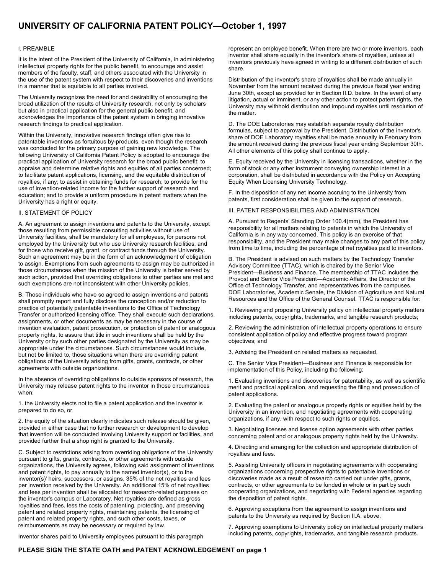## **UNIVERSITY OF CALIFORNIA PATENT POLICY—October 1, 1997**

#### I. PREAMBLE

It is the intent of the President of the University of California, in administering intellectual property rights for the public benefit, to encourage and assist members of the faculty, staff, and others associated with the University in the use of the patent system with respect to their discoveries and inventions in a manner that is equitable to all parties involved.

The University recognizes the need for and desirability of encouraging the broad utilization of the results of University research, not only by scholars but also in practical application for the general public benefit, and acknowledges the importance of the patent system in bringing innovative research findings to practical application.

Within the University, innovative research findings often give rise to patentable inventions as fortuitous by-products, even though the research was conducted for the primary purpose of gaining new knowledge. The following University of California Patent Policy is adopted to encourage the practical application of University research for the broad public benefit; to appraise and determine relative rights and equities of all parties concerned; to facilitate patent applications, licensing, and the equitable distribution of royalties, if any; to assist in obtaining funds for research; to provide for the use of invention-related income for the further support of research and education; and to provide a uniform procedure in patent matters when the University has a right or equity.

#### II. STATEMENT OF POLICY

A. An agreement to assign inventions and patents to the University, except those resulting from permissible consulting activities without use of University facilities, shall be mandatory for all employees, for persons not employed by the University but who use University research facilities, and for those who receive gift, grant, or contract funds through the University. Such an agreement may be in the form of an acknowledgment of obligation to assign. Exemptions from such agreements to assign may be authorized in those circumstances when the mission of the University is better served by such action, provided that overriding obligations to other parties are met and such exemptions are not inconsistent with other University policies.

B. Those individuals who have so agreed to assign inventions and patents shall promptly report and fully disclose the conception and/or reduction to practice of potentially patentable inventions to the Office of Technology Transfer or authorized licensing office. They shall execute such declarations, assignments, or other documents as may be necessary in the course of invention evaluation, patent prosecution, or protection of patent or analogous property rights, to assure that title in such inventions shall be held by the University or by such other parties designated by the University as may be appropriate under the circumstances. Such circumstances would include, but not be limited to, those situations when there are overriding patent obligations of the University arising from gifts, grants, contracts, or other agreements with outside organizations.

In the absence of overriding obligations to outside sponsors of research, the University may release patent rights to the inventor in those circumstances when:

1. the University elects not to file a patent application and the inventor is prepared to do so, or

2. the equity of the situation clearly indicates such release should be given, provided in either case that no further research or development to develop that invention will be conducted involving University support or facilities, and provided further that a shop right is granted to the University.

C. Subject to restrictions arising from overriding obligations of the University pursuant to gifts, grants, contracts, or other agreements with outside organizations, the University agrees, following said assignment of inventions and patent rights, to pay annually to the named inventor(s), or to the inventor(s)' heirs, successors, or assigns, 35% of the net royalties and fees per invention received by the University. An additional 15% of net royalties and fees per invention shall be allocated for research-related purposes on the inventor's campus or Laboratory. Net royalties are defined as gross royalties and fees, less the costs of patenting, protecting, and preserving patent and related property rights, maintaining patents, the licensing of patent and related property rights, and such other costs, taxes, or reimbursements as may be necessary or required by law.

Inventor shares paid to University employees pursuant to this paragraph

represent an employee benefit. When there are two or more inventors, each inventor shall share equally in the inventor's share of royalties, unless all inventors previously have agreed in writing to a different distribution of such share.

Distribution of the inventor's share of royalties shall be made annually in November from the amount received during the previous fiscal year ending June 30th, except as provided for in Section II.D. below. In the event of any litigation, actual or imminent, or any other action to protect patent rights, the University may withhold distribution and impound royalties until resolution of the matter.

D. The DOE Laboratories may establish separate royalty distribution formulas, subject to approval by the President. Distribution of the inventor's share of DOE Laboratory royalties shall be made annually in February from the amount received during the previous fiscal year ending September 30th. All other elements of this policy shall continue to apply.

E. Equity received by the University in licensing transactions, whether in the form of stock or any other instrument conveying ownership interest in a corporation, shall be distributed in accordance with the Policy on Accepting Equity When Licensing University Technology.

F. In the disposition of any net income accruing to the University from patents, first consideration shall be given to the support of research.

III. PATENT RESPONSIBILITIES AND ADMINISTRATION

A. Pursuant to Regents' Standing Order 100.4(mm), the President has responsibility for all matters relating to patents in which the University of California is in any way concerned. This policy is an exercise of that responsibility, and the President may make changes to any part of this policy from time to time, including the percentage of net royalties paid to inventors.

B. The President is advised on such matters by the Technology Transfer Advisory Committee (TTAC), which is chaired by the Senior Vice President—Business and Finance. The membership of TTAC includes the Provost and Senior Vice President—Academic Affairs, the Director of the Office of Technology Transfer, and representatives from the campuses, DOE Laboratories, Academic Senate, the Division of Agriculture and Natural Resources and the Office of the General Counsel. TTAC is responsible for:

1. Reviewing and proposing University policy on intellectual property matters including patents, copyrights, trademarks, and tangible research products;

2. Reviewing the administration of intellectual property operations to ensure consistent application of policy and effective progress toward program objectives; and

3. Advising the President on related matters as requested.

C. The Senior Vice President—Business and Finance is responsible for implementation of this Policy, including the following:

1. Evaluating inventions and discoveries for patentability, as well as scientific merit and practical application, and requesting the filing and prosecution of patent applications.

2. Evaluating the patent or analogous property rights or equities held by the University in an invention, and negotiating agreements with cooperating organizations, if any, with respect to such rights or equities.

3. Negotiating licenses and license option agreements with other parties concerning patent and or analogous property rights held by the University.

4. Directing and arranging for the collection and appropriate distribution of royalties and fees.

5. Assisting University officers in negotiating agreements with cooperating organizations concerning prospective rights to patentable inventions or discoveries made as a result of research carried out under gifts, grants, contracts, or other agreements to be funded in whole or in part by such cooperating organizations, and negotiating with Federal agencies regarding the disposition of patent rights.

6. Approving exceptions from the agreement to assign inventions and patents to the University as required by Section II.A. above.

7. Approving exemptions to University policy on intellectual property matters including patents, copyrights, trademarks, and tangible research products.

### **PLEASE SIGN THE STATE OATH and PATENT ACKNOWLEDGEMENT on page 1**